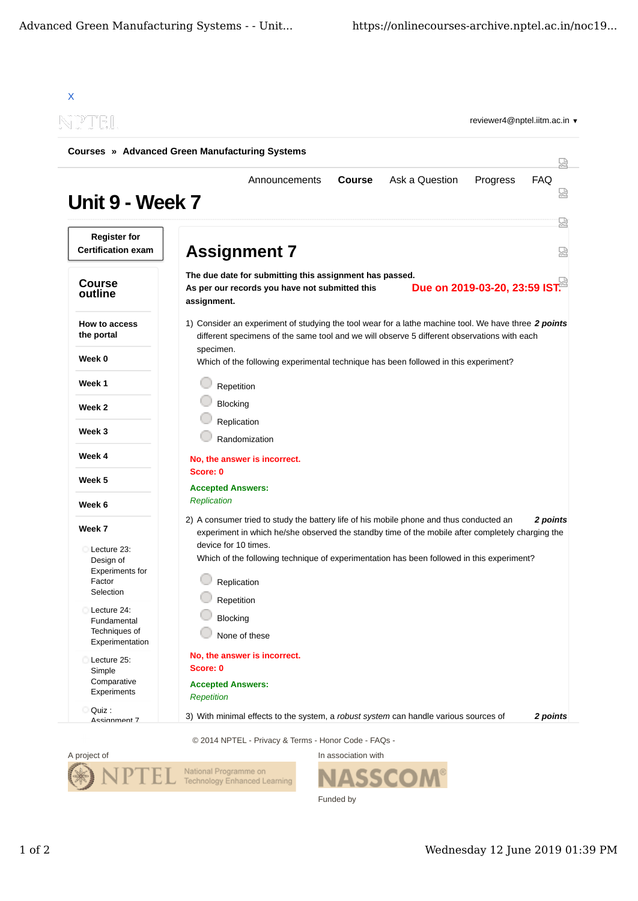| NPTEL                                                 | reviewer4@nptel.iitm.ac.in ▼                                                                                                                                                                            |  |  |  |
|-------------------------------------------------------|---------------------------------------------------------------------------------------------------------------------------------------------------------------------------------------------------------|--|--|--|
| <b>Courses » Advanced Green Manufacturing Systems</b> |                                                                                                                                                                                                         |  |  |  |
| Unit 9 - Week 7                                       | Ask a Question<br>FAQ<br><b>Course</b><br>Progress<br>Announcements                                                                                                                                     |  |  |  |
| <b>Register for</b><br><b>Certification exam</b>      | <b>Assignment 7</b>                                                                                                                                                                                     |  |  |  |
| <b>Course</b><br>outline                              | The due date for submitting this assignment has passed.<br>Due on 2019-03-20, 23:59 IST.<br>As per our records you have not submitted this<br>assignment.                                               |  |  |  |
| <b>How to access</b><br>the portal                    | 1) Consider an experiment of studying the tool wear for a lathe machine tool. We have three 2 points<br>different specimens of the same tool and we will observe 5 different observations with each     |  |  |  |
| Week 0                                                | specimen.<br>Which of the following experimental technique has been followed in this experiment?                                                                                                        |  |  |  |
| Week 1                                                | Repetition                                                                                                                                                                                              |  |  |  |
| Week 2                                                | Blocking                                                                                                                                                                                                |  |  |  |
| Week 3                                                | Replication                                                                                                                                                                                             |  |  |  |
| Week 4                                                | Randomization                                                                                                                                                                                           |  |  |  |
|                                                       | No, the answer is incorrect.<br>Score: 0                                                                                                                                                                |  |  |  |
| Week 5                                                | <b>Accepted Answers:</b><br><b>Replication</b>                                                                                                                                                          |  |  |  |
| Week 6                                                |                                                                                                                                                                                                         |  |  |  |
| Week 7                                                | 2) A consumer tried to study the battery life of his mobile phone and thus conducted an<br>2 points<br>experiment in which he/she observed the standby time of the mobile after completely charging the |  |  |  |
| Lecture 23:<br>Design of<br><b>Experiments for</b>    | device for 10 times.<br>Which of the following technique of experimentation has been followed in this experiment?                                                                                       |  |  |  |
| Factor<br>Selection                                   | Replication                                                                                                                                                                                             |  |  |  |
| Lecture 24:<br>Fundamental                            | Repetition<br>Blocking                                                                                                                                                                                  |  |  |  |
| Techniques of<br>Experimentation                      | None of these                                                                                                                                                                                           |  |  |  |
| Lecture 25:<br>Simple                                 | No, the answer is incorrect.<br>Score: 0                                                                                                                                                                |  |  |  |
| Comparative<br>Experiments                            | <b>Accepted Answers:</b><br><b>Repetition</b>                                                                                                                                                           |  |  |  |
| Quiz :<br>O                                           |                                                                                                                                                                                                         |  |  |  |

© 2014 NPTEL - Privacy & Terms - Honor Code - FAQs -



In association with **SSCOM®** Funded by